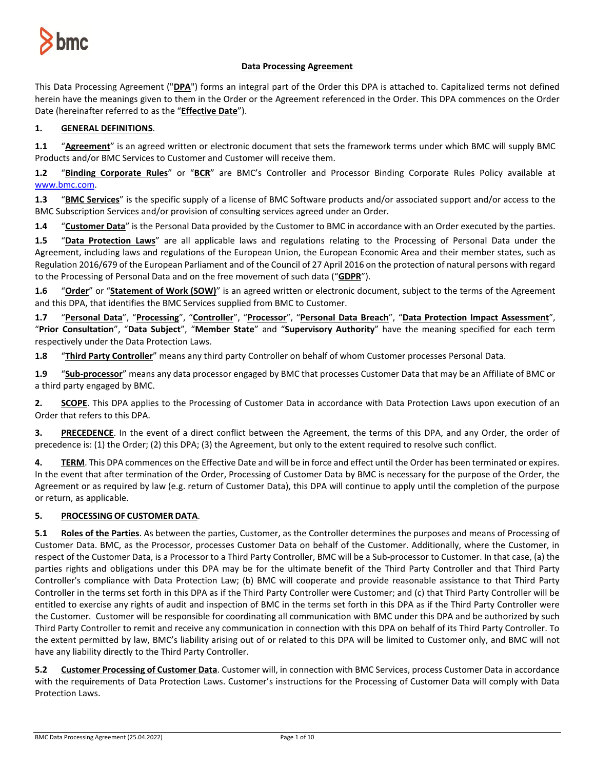

# **Data Processing Agreement**

This Data Processing Agreement ("**DPA**") forms an integral part of the Order this DPA is attached to. Capitalized terms not defined herein have the meanings given to them in the Order or the Agreement referenced in the Order. This DPA commences on the Order Date (hereinafter referred to as the "**Effective Date**").

# **1. GENERAL DEFINITIONS**.

**1.1** "**Agreement**" is an agreed written or electronic document that sets the framework terms under which BMC will supply BMC Products and/or BMC Services to Customer and Customer will receive them.

**1.2** "**Binding Corporate Rules**" or "**BCR**" are BMC's Controller and Processor Binding Corporate Rules Policy available at [www.bmc.com.](http://www.bmc.com/) 

**1.3** "**BMC Services**" is the specific supply of a license of BMC Software products and/or associated support and/or access to the BMC Subscription Services and/or provision of consulting services agreed under an Order.

**1.4** "**Customer Data**" is the Personal Data provided by the Customer to BMC in accordance with an Order executed by the parties.

**1.5** "**Data Protection Laws**" are all applicable laws and regulations relating to the Processing of Personal Data under the Agreement, including laws and regulations of the European Union, the European Economic Area and their member states, such as Regulation 2016/679 of the European Parliament and of the Council of 27 April 2016 on the protection of natural persons with regard to the Processing of Personal Data and on the free movement of such data ("**GDPR**").

**1.6** "**Order**" or "**Statement of Work (SOW)**" is an agreed written or electronic document, subject to the terms of the Agreement and this DPA, that identifies the BMC Services supplied from BMC to Customer.

**1.7** "**Personal Data**", "**Processing**", "**Controller**", "**Processor**", "**Personal Data Breach**", "**Data Protection Impact Assessment**", "**Prior Consultation**", "**Data Subject**", "**Member State**" and "**Supervisory Authority**" have the meaning specified for each term respectively under the Data Protection Laws.

**1.8** "**Third Party Controller**" means any third party Controller on behalf of whom Customer processes Personal Data.

**1.9** "**Sub-processor**" means any data processor engaged by BMC that processes Customer Data that may be an Affiliate of BMC or a third party engaged by BMC.

**2. SCOPE**. This DPA applies to the Processing of Customer Data in accordance with Data Protection Laws upon execution of an Order that refers to this DPA.

**3. PRECEDENCE**. In the event of a direct conflict between the Agreement, the terms of this DPA, and any Order, the order of precedence is: (1) the Order; (2) this DPA; (3) the Agreement, but only to the extent required to resolve such conflict.

**4. TERM**. This DPA commences on the Effective Date and will be in force and effect until the Order has been terminated or expires. In the event that after termination of the Order, Processing of Customer Data by BMC is necessary for the purpose of the Order, the Agreement or as required by law (e.g. return of Customer Data), this DPA will continue to apply until the completion of the purpose or return, as applicable.

# **5. PROCESSING OF CUSTOMER DATA**.

**5.1 Roles of the Parties**. As between the parties, Customer, as the Controller determines the purposes and means of Processing of Customer Data. BMC, as the Processor, processes Customer Data on behalf of the Customer. Additionally, where the Customer, in respect of the Customer Data, is a Processor to a Third Party Controller, BMC will be a Sub-processor to Customer. In that case, (a) the parties rights and obligations under this DPA may be for the ultimate benefit of the Third Party Controller and that Third Party Controller's compliance with Data Protection Law; (b) BMC will cooperate and provide reasonable assistance to that Third Party Controller in the terms set forth in this DPA as if the Third Party Controller were Customer; and (c) that Third Party Controller will be entitled to exercise any rights of audit and inspection of BMC in the terms set forth in this DPA as if the Third Party Controller were the Customer. Customer will be responsible for coordinating all communication with BMC under this DPA and be authorized by such Third Party Controller to remit and receive any communication in connection with this DPA on behalf of its Third Party Controller. To the extent permitted by law, BMC's liability arising out of or related to this DPA will be limited to Customer only, and BMC will not have any liability directly to the Third Party Controller.

**5.2 Customer Processing of Customer Data**. Customer will, in connection with BMC Services, process Customer Data in accordance with the requirements of Data Protection Laws. Customer's instructions for the Processing of Customer Data will comply with Data Protection Laws.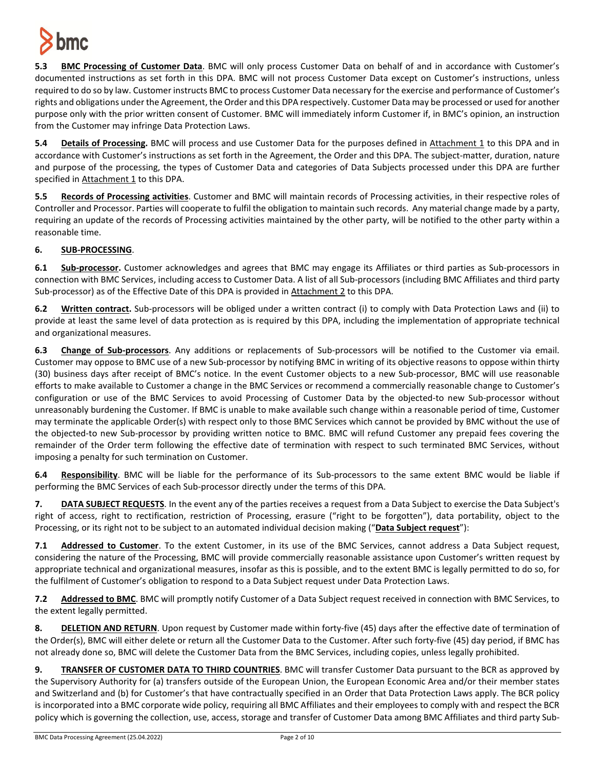

**5.3 BMC Processing of Customer Data**. BMC will only process Customer Data on behalf of and in accordance with Customer's documented instructions as set forth in this DPA. BMC will not process Customer Data except on Customer's instructions, unless required to do so by law. Customer instructs BMC to process Customer Data necessary for the exercise and performance of Customer's rights and obligations under the Agreement, the Order and this DPA respectively. Customer Data may be processed or used for another purpose only with the prior written consent of Customer. BMC will immediately inform Customer if, in BMC's opinion, an instruction from the Customer may infringe Data Protection Laws.

**5.4 Details of Processing.** BMC will process and use Customer Data for the purposes defined in Attachment 1 to this DPA and in accordance with Customer's instructions as set forth in the Agreement, the Order and this DPA. The subject-matter, duration, nature and purpose of the processing, the types of Customer Data and categories of Data Subjects processed under this DPA are further specified in Attachment 1 to this DPA.

**5.5 Records of Processing activities**. Customer and BMC will maintain records of Processing activities, in their respective roles of Controller and Processor. Parties will cooperate to fulfil the obligation to maintain such records. Any material change made by a party, requiring an update of the records of Processing activities maintained by the other party, will be notified to the other party within a reasonable time.

# **6. SUB-PROCESSING**.

**6.1 Sub-processor.** Customer acknowledges and agrees that BMC may engage its Affiliates or third parties as Sub-processors in connection with BMC Services, including access to Customer Data. A list of all Sub-processors (including BMC Affiliates and third party Sub-processor) as of the Effective Date of this DPA is provided in Attachment 2 to this DPA.

**6.2 Written contract.** Sub-processors will be obliged under a written contract (i) to comply with Data Protection Laws and (ii) to provide at least the same level of data protection as is required by this DPA, including the implementation of appropriate technical and organizational measures.

**6.3 Change of Sub-processors**. Any additions or replacements of Sub-processors will be notified to the Customer via email. Customer may oppose to BMC use of a new Sub-processor by notifying BMC in writing of its objective reasons to oppose within thirty (30) business days after receipt of BMC's notice. In the event Customer objects to a new Sub-processor, BMC will use reasonable efforts to make available to Customer a change in the BMC Services or recommend a commercially reasonable change to Customer's configuration or use of the BMC Services to avoid Processing of Customer Data by the objected-to new Sub-processor without unreasonably burdening the Customer. If BMC is unable to make available such change within a reasonable period of time, Customer may terminate the applicable Order(s) with respect only to those BMC Services which cannot be provided by BMC without the use of the objected-to new Sub-processor by providing written notice to BMC. BMC will refund Customer any prepaid fees covering the remainder of the Order term following the effective date of termination with respect to such terminated BMC Services, without imposing a penalty for such termination on Customer.

**6.4 Responsibility**. BMC will be liable for the performance of its Sub-processors to the same extent BMC would be liable if performing the BMC Services of each Sub-processor directly under the terms of this DPA.

**7. DATA SUBJECT REQUESTS**. In the event any of the parties receives a request from a Data Subject to exercise the Data Subject's right of access, right to rectification, restriction of Processing, erasure ("right to be forgotten"), data portability, object to the Processing, or its right not to be subject to an automated individual decision making ("**Data Subject request**"):

**7.1 Addressed to Customer**. To the extent Customer, in its use of the BMC Services, cannot address a Data Subject request, considering the nature of the Processing, BMC will provide commercially reasonable assistance upon Customer's written request by appropriate technical and organizational measures, insofar as this is possible, and to the extent BMC is legally permitted to do so, for the fulfilment of Customer's obligation to respond to a Data Subject request under Data Protection Laws.

**7.2 Addressed to BMC**. BMC will promptly notify Customer of a Data Subject request received in connection with BMC Services, to the extent legally permitted.

**8. DELETION AND RETURN**. Upon request by Customer made within forty-five (45) days after the effective date of termination of the Order(s), BMC will either delete or return all the Customer Data to the Customer. After such forty-five (45) day period, if BMC has not already done so, BMC will delete the Customer Data from the BMC Services, including copies, unless legally prohibited.

**9. TRANSFER OF CUSTOMER DATA TO THIRD COUNTRIES**. BMC will transfer Customer Data pursuant to the BCR as approved by the Supervisory Authority for (a) transfers outside of the European Union, the European Economic Area and/or their member states and Switzerland and (b) for Customer's that have contractually specified in an Order that Data Protection Laws apply. The BCR policy is incorporated into a BMC corporate wide policy, requiring all BMC Affiliates and their employees to comply with and respect the BCR policy which is governing the collection, use, access, storage and transfer of Customer Data among BMC Affiliates and third party Sub-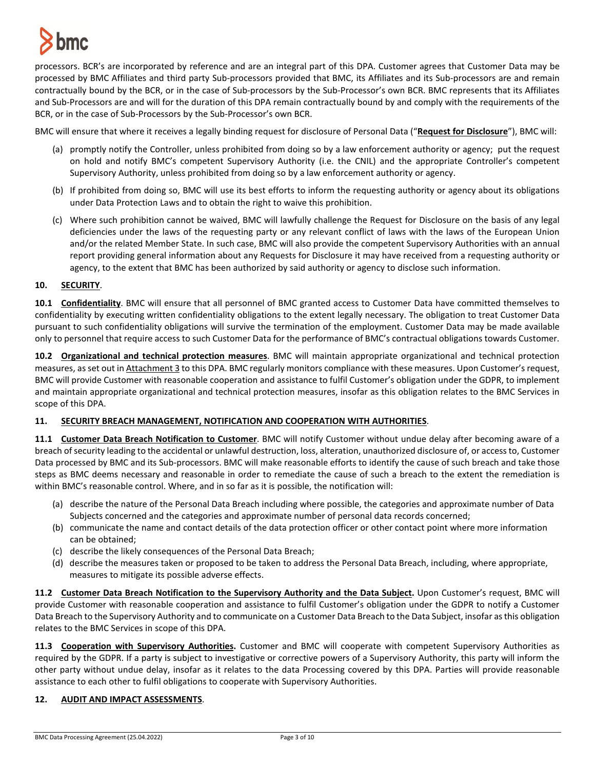

processors. BCR's are incorporated by reference and are an integral part of this DPA. Customer agrees that Customer Data may be processed by BMC Affiliates and third party Sub-processors provided that BMC, its Affiliates and its Sub-processors are and remain contractually bound by the BCR, or in the case of Sub-processors by the Sub-Processor's own BCR. BMC represents that its Affiliates and Sub-Processors are and will for the duration of this DPA remain contractually bound by and comply with the requirements of the BCR, or in the case of Sub-Processors by the Sub-Processor's own BCR.

BMC will ensure that where it receives a legally binding request for disclosure of Personal Data ("**Request for Disclosure**"), BMC will:

- (a) promptly notify the Controller, unless prohibited from doing so by a law enforcement authority or agency; put the request on hold and notify BMC's competent Supervisory Authority (i.e. the CNIL) and the appropriate Controller's competent Supervisory Authority, unless prohibited from doing so by a law enforcement authority or agency.
- (b) If prohibited from doing so, BMC will use its best efforts to inform the requesting authority or agency about its obligations under Data Protection Laws and to obtain the right to waive this prohibition.
- (c) Where such prohibition cannot be waived, BMC will lawfully challenge the Request for Disclosure on the basis of any legal deficiencies under the laws of the requesting party or any relevant conflict of laws with the laws of the European Union and/or the related Member State. In such case, BMC will also provide the competent Supervisory Authorities with an annual report providing general information about any Requests for Disclosure it may have received from a requesting authority or agency, to the extent that BMC has been authorized by said authority or agency to disclose such information.

## **10. SECURITY**.

**10.1 Confidentiality**. BMC will ensure that all personnel of BMC granted access to Customer Data have committed themselves to confidentiality by executing written confidentiality obligations to the extent legally necessary. The obligation to treat Customer Data pursuant to such confidentiality obligations will survive the termination of the employment. Customer Data may be made available only to personnel that require access to such Customer Data for the performance of BMC's contractual obligations towards Customer.

**10.2 Organizational and technical protection measures**. BMC will maintain appropriate organizational and technical protection measures, as set out in Attachment 3 to this DPA. BMC regularly monitors compliance with these measures. Upon Customer's request, BMC will provide Customer with reasonable cooperation and assistance to fulfil Customer's obligation under the GDPR, to implement and maintain appropriate organizational and technical protection measures, insofar as this obligation relates to the BMC Services in scope of this DPA.

# **11. SECURITY BREACH MANAGEMENT, NOTIFICATION AND COOPERATION WITH AUTHORITIES**.

**11.1 Customer Data Breach Notification to Customer**. BMC will notify Customer without undue delay after becoming aware of a breach of security leading to the accidental or unlawful destruction, loss, alteration, unauthorized disclosure of, or accessto, Customer Data processed by BMC and its Sub-processors. BMC will make reasonable efforts to identify the cause of such breach and take those steps as BMC deems necessary and reasonable in order to remediate the cause of such a breach to the extent the remediation is within BMC's reasonable control. Where, and in so far as it is possible, the notification will:

- (a) describe the nature of the Personal Data Breach including where possible, the categories and approximate number of Data Subjects concerned and the categories and approximate number of personal data records concerned;
- (b) communicate the name and contact details of the data protection officer or other contact point where more information can be obtained;
- (c) describe the likely consequences of the Personal Data Breach;
- (d) describe the measures taken or proposed to be taken to address the Personal Data Breach, including, where appropriate, measures to mitigate its possible adverse effects.

**11.2 Customer Data Breach Notification to the Supervisory Authority and the Data Subject.** Upon Customer's request, BMC will provide Customer with reasonable cooperation and assistance to fulfil Customer's obligation under the GDPR to notify a Customer Data Breach to the Supervisory Authority and to communicate on a Customer Data Breach to the Data Subject, insofar as this obligation relates to the BMC Services in scope of this DPA.

**11.3 Cooperation with Supervisory Authorities.** Customer and BMC will cooperate with competent Supervisory Authorities as required by the GDPR. If a party is subject to investigative or corrective powers of a Supervisory Authority, this party will inform the other party without undue delay, insofar as it relates to the data Processing covered by this DPA. Parties will provide reasonable assistance to each other to fulfil obligations to cooperate with Supervisory Authorities.

# **12. AUDIT AND IMPACT ASSESSMENTS**.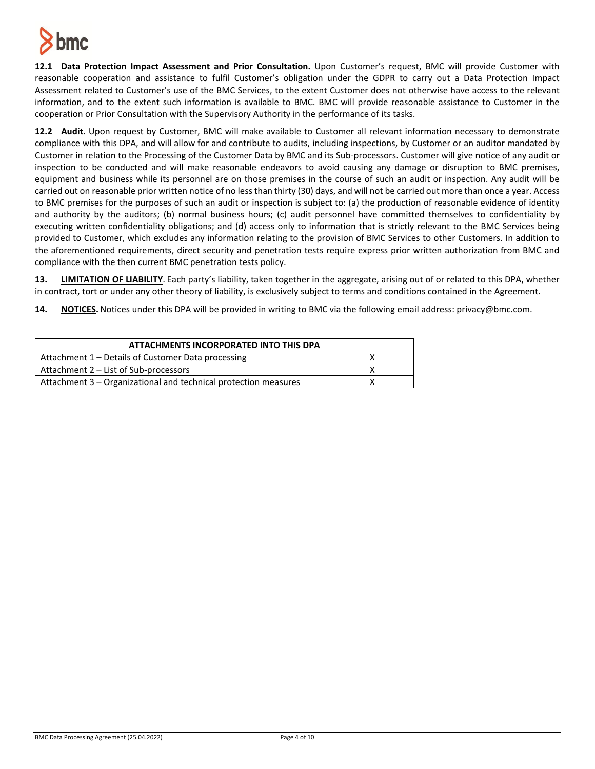

**12.1 Data Protection Impact Assessment and Prior Consultation.** Upon Customer's request, BMC will provide Customer with reasonable cooperation and assistance to fulfil Customer's obligation under the GDPR to carry out a Data Protection Impact Assessment related to Customer's use of the BMC Services, to the extent Customer does not otherwise have access to the relevant information, and to the extent such information is available to BMC. BMC will provide reasonable assistance to Customer in the cooperation or Prior Consultation with the Supervisory Authority in the performance of its tasks.

**12.2 Audit**. Upon request by Customer, BMC will make available to Customer all relevant information necessary to demonstrate compliance with this DPA, and will allow for and contribute to audits, including inspections, by Customer or an auditor mandated by Customer in relation to the Processing of the Customer Data by BMC and its Sub-processors. Customer will give notice of any audit or inspection to be conducted and will make reasonable endeavors to avoid causing any damage or disruption to BMC premises, equipment and business while its personnel are on those premises in the course of such an audit or inspection. Any audit will be carried out on reasonable prior written notice of no less than thirty (30) days, and will not be carried out more than once a year. Access to BMC premises for the purposes of such an audit or inspection is subject to: (a) the production of reasonable evidence of identity and authority by the auditors; (b) normal business hours; (c) audit personnel have committed themselves to confidentiality by executing written confidentiality obligations; and (d) access only to information that is strictly relevant to the BMC Services being provided to Customer, which excludes any information relating to the provision of BMC Services to other Customers. In addition to the aforementioned requirements, direct security and penetration tests require express prior written authorization from BMC and compliance with the then current BMC penetration tests policy.

**13. LIMITATION OF LIABILITY**. Each party's liability, taken together in the aggregate, arising out of or related to this DPA, whether in contract, tort or under any other theory of liability, is exclusively subject to terms and conditions contained in the Agreement.

**14. NOTICES.** Notices under this DPA will be provided in writing to BMC via the following email address: privacy@bmc.com.

| ATTACHMENTS INCORPORATED INTO THIS DPA                          |  |
|-----------------------------------------------------------------|--|
| Attachment 1 – Details of Customer Data processing              |  |
| Attachment 2 - List of Sub-processors                           |  |
| Attachment 3 – Organizational and technical protection measures |  |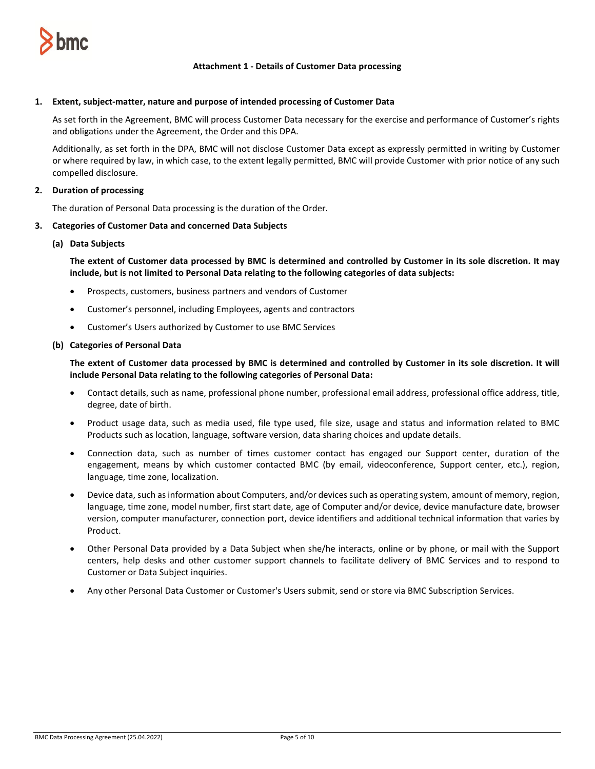

### **Attachment 1 - Details of Customer Data processing**

#### **1. Extent, subject-matter, nature and purpose of intended processing of Customer Data**

As set forth in the Agreement, BMC will process Customer Data necessary for the exercise and performance of Customer's rights and obligations under the Agreement, the Order and this DPA.

Additionally, as set forth in the DPA, BMC will not disclose Customer Data except as expressly permitted in writing by Customer or where required by law, in which case, to the extent legally permitted, BMC will provide Customer with prior notice of any such compelled disclosure.

## **2. Duration of processing**

The duration of Personal Data processing is the duration of the Order.

#### **3. Categories of Customer Data and concerned Data Subjects**

#### **(a) Data Subjects**

**The extent of Customer data processed by BMC is determined and controlled by Customer in its sole discretion. It may include, but is not limited to Personal Data relating to the following categories of data subjects:**

- Prospects, customers, business partners and vendors of Customer
- Customer's personnel, including Employees, agents and contractors
- Customer's Users authorized by Customer to use BMC Services

#### **(b) Categories of Personal Data**

**The extent of Customer data processed by BMC is determined and controlled by Customer in its sole discretion. It will include Personal Data relating to the following categories of Personal Data:**

- Contact details, such as name, professional phone number, professional email address, professional office address, title, degree, date of birth.
- Product usage data, such as media used, file type used, file size, usage and status and information related to BMC Products such as location, language, software version, data sharing choices and update details.
- Connection data, such as number of times customer contact has engaged our Support center, duration of the engagement, means by which customer contacted BMC (by email, videoconference, Support center, etc.), region, language, time zone, localization.
- Device data, such as information about Computers, and/or devices such as operating system, amount of memory, region, language, time zone, model number, first start date, age of Computer and/or device, device manufacture date, browser version, computer manufacturer, connection port, device identifiers and additional technical information that varies by Product.
- Other Personal Data provided by a Data Subject when she/he interacts, online or by phone, or mail with the Support centers, help desks and other customer support channels to facilitate delivery of BMC Services and to respond to Customer or Data Subject inquiries.
- Any other Personal Data Customer or Customer's Users submit, send or store via BMC Subscription Services.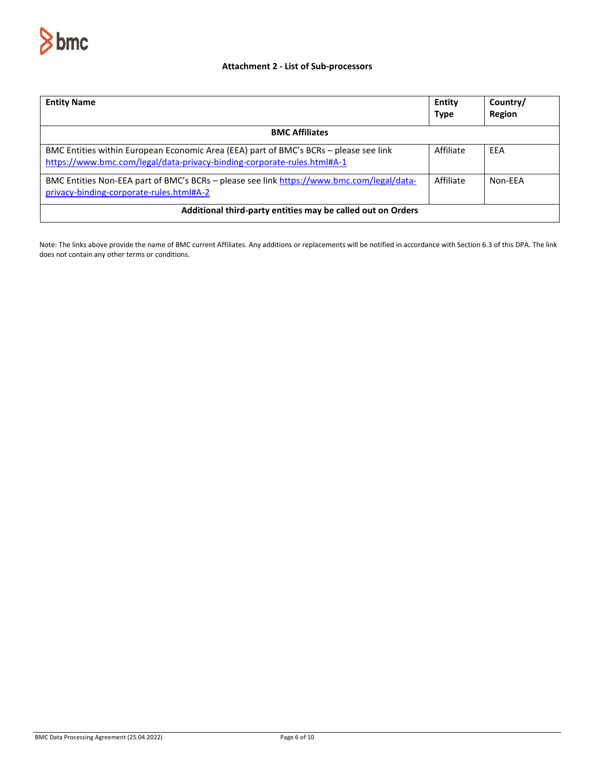

## **Attachment 2 - List of Sub-processors**

| <b>Entity Name</b>                                                                                                                                               | Entity<br><b>Type</b> | Country/<br><b>Region</b> |  |
|------------------------------------------------------------------------------------------------------------------------------------------------------------------|-----------------------|---------------------------|--|
| <b>BMC Affiliates</b>                                                                                                                                            |                       |                           |  |
| BMC Entities within European Economic Area (EEA) part of BMC's BCRs - please see link<br>https://www.bmc.com/legal/data-privacy-binding-corporate-rules.html#A-1 | Affiliate             | <b>FFA</b>                |  |
| BMC Entities Non-EEA part of BMC's BCRs – please see link https://www.bmc.com/legal/data-<br>privacy-binding-corporate-rules.html#A-2                            | Affiliate             | Non-FFA                   |  |
| Additional third-party entities may be called out on Orders                                                                                                      |                       |                           |  |

Note: The links above provide the name of BMC current Affiliates. Any additions or replacements will be notified in accordance with Section 6.3 of this DPA. The link does not contain any other terms or conditions.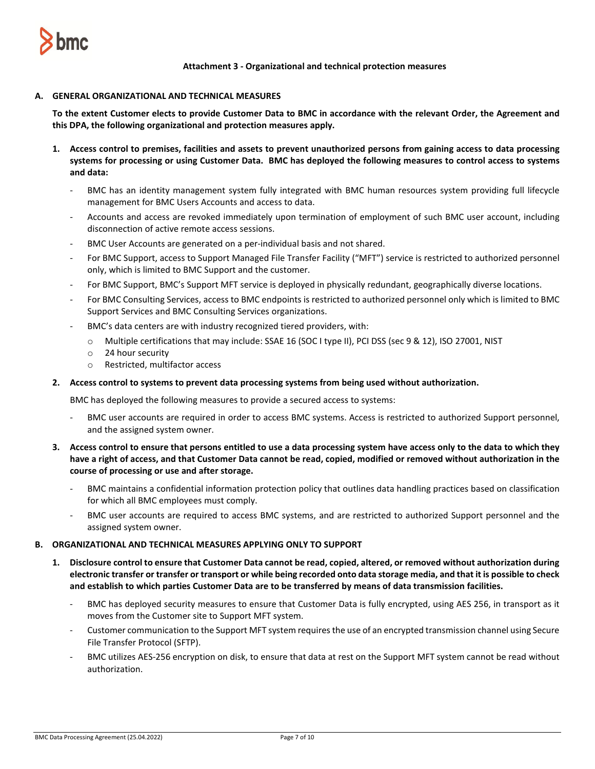

**Attachment 3 - Organizational and technical protection measures**

## **A. GENERAL ORGANIZATIONAL AND TECHNICAL MEASURES**

**To the extent Customer elects to provide Customer Data to BMC in accordance with the relevant Order, the Agreement and this DPA, the following organizational and protection measures apply.** 

- **1. Access control to premises, facilities and assets to prevent unauthorized persons from gaining access to data processing systems for processing or using Customer Data. BMC has deployed the following measures to control access to systems and data:**
	- BMC has an identity management system fully integrated with BMC human resources system providing full lifecycle management for BMC Users Accounts and access to data.
	- Accounts and access are revoked immediately upon termination of employment of such BMC user account, including disconnection of active remote access sessions.
	- BMC User Accounts are generated on a per-individual basis and not shared.
	- For BMC Support, access to Support Managed File Transfer Facility ("MFT") service is restricted to authorized personnel only, which is limited to BMC Support and the customer.
	- For BMC Support, BMC's Support MFT service is deployed in physically redundant, geographically diverse locations.
	- For BMC Consulting Services, access to BMC endpoints is restricted to authorized personnel only which is limited to BMC Support Services and BMC Consulting Services organizations.
	- BMC's data centers are with industry recognized tiered providers, with:
		- o Multiple certifications that may include: SSAE 16 (SOC I type II), PCI DSS (sec 9 & 12), ISO 27001, NIST
		- o 24 hour security
		- o Restricted, multifactor access

## **2. Access control to systems to prevent data processing systems from being used without authorization.**

BMC has deployed the following measures to provide a secured access to systems:

- BMC user accounts are required in order to access BMC systems. Access is restricted to authorized Support personnel, and the assigned system owner.
- **3. Access control to ensure that persons entitled to use a data processing system have access only to the data to which they have a right of access, and that Customer Data cannot be read, copied, modified or removed without authorization in the course of processing or use and after storage.**
	- BMC maintains a confidential information protection policy that outlines data handling practices based on classification for which all BMC employees must comply.
	- BMC user accounts are required to access BMC systems, and are restricted to authorized Support personnel and the assigned system owner.

## **B. ORGANIZATIONAL AND TECHNICAL MEASURES APPLYING ONLY TO SUPPORT**

- **1. Disclosure control to ensure that Customer Data cannot be read, copied, altered, or removed without authorization during electronic transfer or transfer or transport or while being recorded onto data storage media, and that it is possible to check and establish to which parties Customer Data are to be transferred by means of data transmission facilities.** 
	- BMC has deployed security measures to ensure that Customer Data is fully encrypted, using AES 256, in transport as it moves from the Customer site to Support MFT system.
	- Customer communication to the Support MFT system requires the use of an encrypted transmission channel using Secure File Transfer Protocol (SFTP).
	- BMC utilizes AES-256 encryption on disk, to ensure that data at rest on the Support MFT system cannot be read without authorization.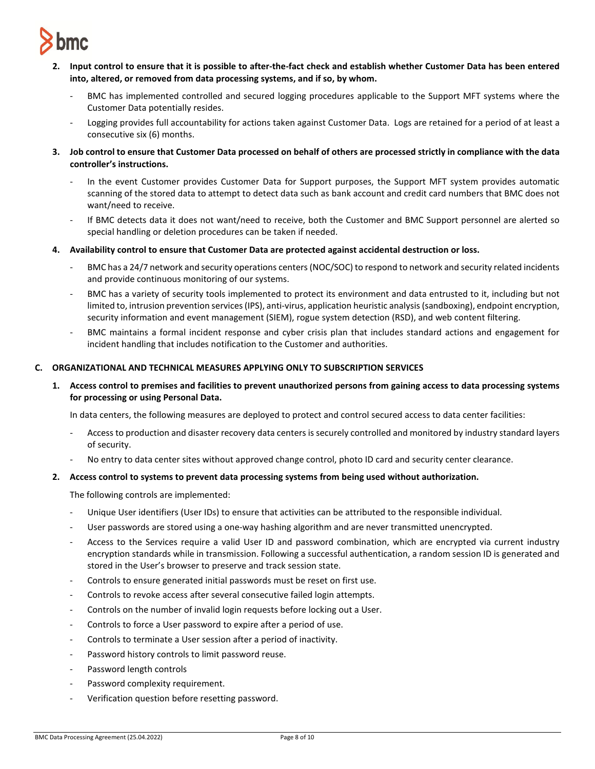

- **2. Input control to ensure that it is possible to after-the-fact check and establish whether Customer Data has been entered into, altered, or removed from data processing systems, and if so, by whom.** 
	- BMC has implemented controlled and secured logging procedures applicable to the Support MFT systems where the Customer Data potentially resides.
	- Logging provides full accountability for actions taken against Customer Data. Logs are retained for a period of at least a consecutive six (6) months.
- **3. Job control to ensure that Customer Data processed on behalf of others are processed strictly in compliance with the data controller's instructions.** 
	- In the event Customer provides Customer Data for Support purposes, the Support MFT system provides automatic scanning of the stored data to attempt to detect data such as bank account and credit card numbers that BMC does not want/need to receive.
	- If BMC detects data it does not want/need to receive, both the Customer and BMC Support personnel are alerted so special handling or deletion procedures can be taken if needed.
- **4. Availability control to ensure that Customer Data are protected against accidental destruction or loss.** 
	- BMC has a 24/7 network and security operations centers (NOC/SOC) to respond to network and security related incidents and provide continuous monitoring of our systems.
	- BMC has a variety of security tools implemented to protect its environment and data entrusted to it, including but not limited to, intrusion prevention services (IPS), anti-virus, application heuristic analysis (sandboxing), endpoint encryption, security information and event management (SIEM), rogue system detection (RSD), and web content filtering.
	- BMC maintains a formal incident response and cyber crisis plan that includes standard actions and engagement for incident handling that includes notification to the Customer and authorities.

## **C. ORGANIZATIONAL AND TECHNICAL MEASURES APPLYING ONLY TO SUBSCRIPTION SERVICES**

**1. Access control to premises and facilities to prevent unauthorized persons from gaining access to data processing systems for processing or using Personal Data.**

In data centers, the following measures are deployed to protect and control secured access to data center facilities:

- Access to production and disaster recovery data centers is securely controlled and monitored by industry standard layers of security.
- No entry to data center sites without approved change control, photo ID card and security center clearance.

# **2. Access control to systems to prevent data processing systems from being used without authorization.**

The following controls are implemented:

- Unique User identifiers (User IDs) to ensure that activities can be attributed to the responsible individual.
- User passwords are stored using a one-way hashing algorithm and are never transmitted unencrypted.
- Access to the Services require a valid User ID and password combination, which are encrypted via current industry encryption standards while in transmission. Following a successful authentication, a random session ID is generated and stored in the User's browser to preserve and track session state.
- Controls to ensure generated initial passwords must be reset on first use.
- Controls to revoke access after several consecutive failed login attempts.
- Controls on the number of invalid login requests before locking out a User.
- Controls to force a User password to expire after a period of use.
- Controls to terminate a User session after a period of inactivity.
- Password history controls to limit password reuse.
- Password length controls
- Password complexity requirement.
- Verification question before resetting password.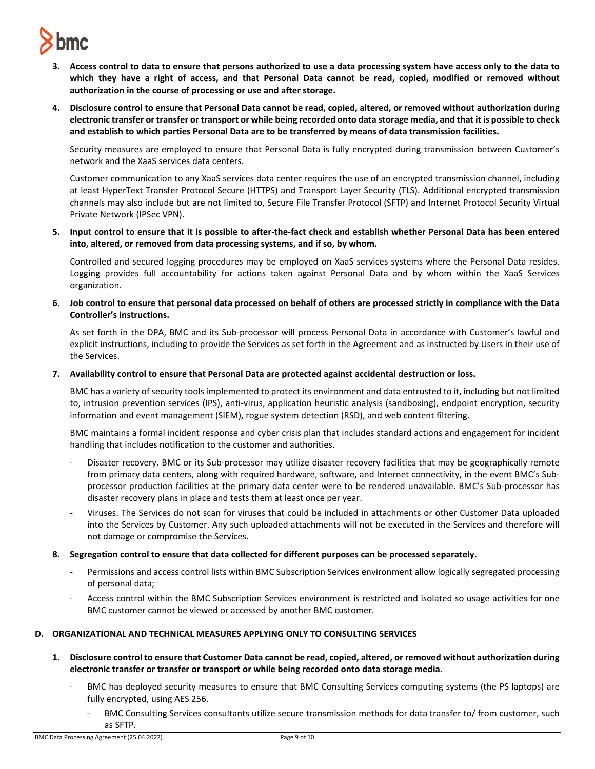# **bmc**

- **3. Access control to data to ensure that persons authorized to use a data processing system have access only to the data to which they have a right of access, and that Personal Data cannot be read, copied, modified or removed without authorization in the course of processing or use and after storage.**
- **4. Disclosure control to ensure that Personal Data cannot be read, copied, altered, or removed without authorization during electronic transfer or transfer or transport or while being recorded onto data storage media, and that it is possible to check and establish to which parties Personal Data are to be transferred by means of data transmission facilities.**

Security measures are employed to ensure that Personal Data is fully encrypted during transmission between Customer's network and the XaaS services data centers.

Customer communication to any XaaS services data center requires the use of an encrypted transmission channel, including at least HyperText Transfer Protocol Secure (HTTPS) and Transport Layer Security (TLS). Additional encrypted transmission channels may also include but are not limited to, Secure File Transfer Protocol (SFTP) and Internet Protocol Security Virtual Private Network (IPSec VPN).

**5. Input control to ensure that it is possible to after-the-fact check and establish whether Personal Data has been entered into, altered, or removed from data processing systems, and if so, by whom.**

Controlled and secured logging procedures may be employed on XaaS services systems where the Personal Data resides. Logging provides full accountability for actions taken against Personal Data and by whom within the XaaS Services organization.

**6. Job control to ensure that personal data processed on behalf of others are processed strictly in compliance with the Data Controller's instructions.**

As set forth in the DPA, BMC and its Sub-processor will process Personal Data in accordance with Customer's lawful and explicit instructions, including to provide the Services as set forth in the Agreement and as instructed by Users in their use of the Services.

**7. Availability control to ensure that Personal Data are protected against accidental destruction or loss.**

BMC has a variety of security tools implemented to protect its environment and data entrusted to it, including but not limited to, intrusion prevention services (IPS), anti-virus, application heuristic analysis (sandboxing), endpoint encryption, security information and event management (SIEM), rogue system detection (RSD), and web content filtering.

BMC maintains a formal incident response and cyber crisis plan that includes standard actions and engagement for incident handling that includes notification to the customer and authorities.

- Disaster recovery. BMC or its Sub-processor may utilize disaster recovery facilities that may be geographically remote from primary data centers, along with required hardware, software, and Internet connectivity, in the event BMC's Subprocessor production facilities at the primary data center were to be rendered unavailable. BMC's Sub-processor has disaster recovery plans in place and tests them at least once per year.
- Viruses. The Services do not scan for viruses that could be included in attachments or other Customer Data uploaded into the Services by Customer. Any such uploaded attachments will not be executed in the Services and therefore will not damage or compromise the Services.
- **8. Segregation control to ensure that data collected for different purposes can be processed separately.** 
	- Permissions and access control lists within BMC Subscription Services environment allow logically segregated processing of personal data;
	- Access control within the BMC Subscription Services environment is restricted and isolated so usage activities for one BMC customer cannot be viewed or accessed by another BMC customer.

# **D. ORGANIZATIONAL AND TECHNICAL MEASURES APPLYING ONLY TO CONSULTING SERVICES**

- **1. Disclosure control to ensure that Customer Data cannot be read, copied, altered, or removed without authorization during electronic transfer or transfer or transport or while being recorded onto data storage media.**
	- BMC has deployed security measures to ensure that BMC Consulting Services computing systems (the PS laptops) are fully encrypted, using AES 256.
		- BMC Consulting Services consultants utilize secure transmission methods for data transfer to/ from customer, such as SFTP.